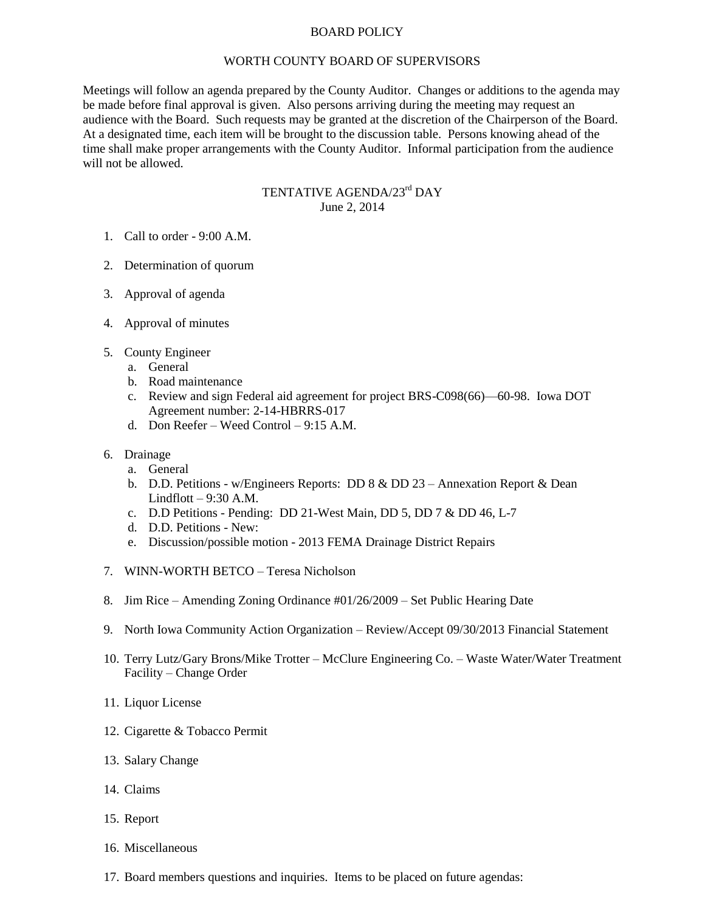## BOARD POLICY

## WORTH COUNTY BOARD OF SUPERVISORS

Meetings will follow an agenda prepared by the County Auditor. Changes or additions to the agenda may be made before final approval is given. Also persons arriving during the meeting may request an audience with the Board. Such requests may be granted at the discretion of the Chairperson of the Board. At a designated time, each item will be brought to the discussion table. Persons knowing ahead of the time shall make proper arrangements with the County Auditor. Informal participation from the audience will not be allowed.

## TENTATIVE AGENDA/23<sup>rd</sup> DAY June 2, 2014

- 1. Call to order 9:00 A.M.
- 2. Determination of quorum
- 3. Approval of agenda
- 4. Approval of minutes
- 5. County Engineer
	- a. General
	- b. Road maintenance
	- c. Review and sign Federal aid agreement for project BRS-C098(66)—60-98. Iowa DOT Agreement number: 2-14-HBRRS-017
	- d. Don Reefer Weed Control 9:15 A.M.
- 6. Drainage
	- a. General
	- b. D.D. Petitions w/Engineers Reports: DD 8 & DD 23 Annexation Report & Dean Lindflott  $-9:30$  A.M.
	- c. D.D Petitions Pending: DD 21-West Main, DD 5, DD 7 & DD 46, L-7
	- d. D.D. Petitions New:
	- e. Discussion/possible motion 2013 FEMA Drainage District Repairs
- 7. WINN-WORTH BETCO Teresa Nicholson
- 8. Jim Rice Amending Zoning Ordinance #01/26/2009 Set Public Hearing Date
- 9. North Iowa Community Action Organization Review/Accept 09/30/2013 Financial Statement
- 10. Terry Lutz/Gary Brons/Mike Trotter McClure Engineering Co. Waste Water/Water Treatment Facility – Change Order
- 11. Liquor License
- 12. Cigarette & Tobacco Permit
- 13. Salary Change
- 14. Claims
- 15. Report
- 16. Miscellaneous
- 17. Board members questions and inquiries. Items to be placed on future agendas: